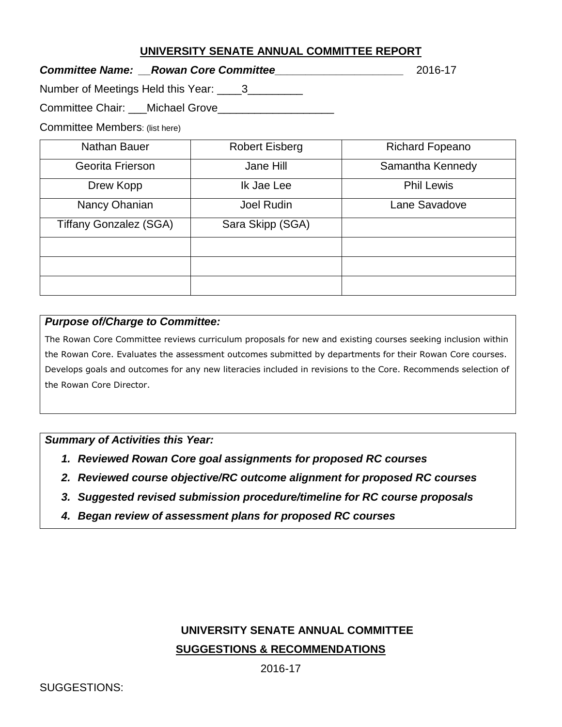### **UNIVERSITY SENATE ANNUAL COMMITTEE REPORT**

*Committee Name: \_\_Rowan Core Committee\_\_\_\_\_\_\_\_\_\_\_\_\_\_\_\_\_\_\_\_\_* 2016-17

Number of Meetings Held this Year: \_\_\_\_3\_\_\_\_\_\_\_\_\_

Committee Chair: \_\_\_Michael Grove\_\_\_\_\_\_\_\_\_\_\_\_\_\_\_\_\_\_\_

Committee Members: (list here)

| Nathan Bauer                  | <b>Robert Eisberg</b> | <b>Richard Fopeano</b> |
|-------------------------------|-----------------------|------------------------|
| Georita Frierson              | Jane Hill             | Samantha Kennedy       |
| Drew Kopp                     | Ik Jae Lee            | <b>Phil Lewis</b>      |
| Nancy Ohanian                 | Joel Rudin            | Lane Savadove          |
| <b>Tiffany Gonzalez (SGA)</b> | Sara Skipp (SGA)      |                        |
|                               |                       |                        |
|                               |                       |                        |
|                               |                       |                        |

#### *Purpose of/Charge to Committee:*

The Rowan Core Committee reviews curriculum proposals for new and existing courses seeking inclusion within the Rowan Core. Evaluates the assessment outcomes submitted by departments for their Rowan Core courses. Develops goals and outcomes for any new literacies included in revisions to the Core. Recommends selection of the Rowan Core Director.

#### *Summary of Activities this Year:*

- *1. Reviewed Rowan Core goal assignments for proposed RC courses*
- *2. Reviewed course objective/RC outcome alignment for proposed RC courses*
- *3. Suggested revised submission procedure/timeline for RC course proposals*
- *4. Began review of assessment plans for proposed RC courses*

# **UNIVERSITY SENATE ANNUAL COMMITTEE SUGGESTIONS & RECOMMENDATIONS**

2016-17